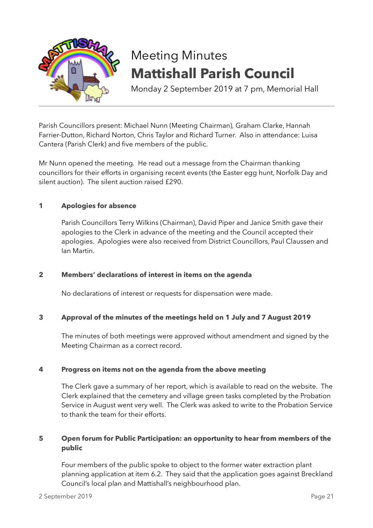

# Meeting Minutes **Mattishall Parish Council**

Monday 2 September 2019 at 7 pm, Memorial Hall

Parish Councillors present: Michael Nunn (Meeting Chairman), Graham Clarke, Hannah Farrier-Dutton, Richard Norton, Chris Taylor and Richard Turner. Also in attendance: Luisa Cantera (Parish Clerk) and five members of the public.

Mr Nunn opened the meeting. He read out a message from the Chairman thanking councillors for their efforts in organising recent events (the Easter egg hunt, Norfolk Day and silent auction). The silent auction raised £290.

# **1 Apologies for absence**

Parish Councillors Terry Wilkins (Chairman), David Piper and Janice Smith gave their apologies to the Clerk in advance of the meeting and the Council accepted their apologies. Apologies were also received from District Councillors, Paul Claussen and Ian Martin.

# **2 Members' declarations of interest in items on the agenda**

No declarations of interest or requests for dispensation were made.

# **3 Approval of the minutes of the meetings held on 1 July and 7 August 2019**

The minutes of both meetings were approved without amendment and signed by the Meeting Chairman as a correct record.

# **4 Progress on items not on the agenda from the above meeting**

The Clerk gave a summary of her report, which is available to read on the website. The Clerk explained that the cemetery and village green tasks completed by the Probation Service in August went very well. The Clerk was asked to write to the Probation Service to thank the team for their efforts.

# **5 Open forum for Public Participation: an opportunity to hear from members of the public**

Four members of the public spoke to object to the former water extraction plant planning application at item 6.2. They said that the application goes against Breckland Council's local plan and Mattishall's neighbourhood plan.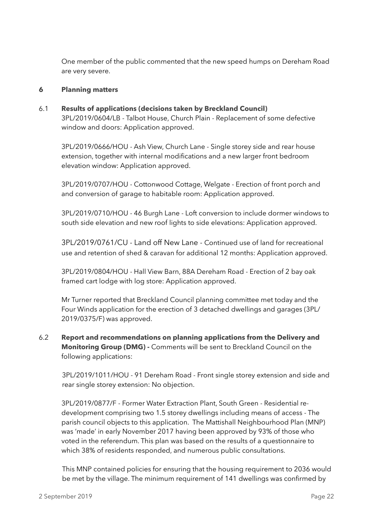One member of the public commented that the new speed humps on Dereham Road are very severe.

## **6 Planning matters**

6.1 **Results of applications (decisions taken by Breckland Council)** 3PL/2019/0604/LB - Talbot House, Church Plain - Replacement of some defective window and doors: Application approved.

3PL/2019/0666/HOU - Ash View, Church Lane - Single storey side and rear house extension, together with internal modifications and a new larger front bedroom elevation window: Application approved.

3PL/2019/0707/HOU - Cottonwood Cottage, Welgate - Erection of front porch and and conversion of garage to habitable room: Application approved.

3PL/2019/0710/HOU - 46 Burgh Lane - Loft conversion to include dormer windows to south side elevation and new roof lights to side elevations: Application approved.

3PL/2019/0761/CU - Land off New Lane - Continued use of land for recreational use and retention of shed & caravan for additional 12 months: Application approved.

3PL/2019/0804/HOU - Hall View Barn, 88A Dereham Road - Erection of 2 bay oak framed cart lodge with log store: Application approved.

Mr Turner reported that Breckland Council planning committee met today and the Four Winds application for the erection of 3 detached dwellings and garages (3PL/ 2019/0375/F) was approved.

6.2 **Report and recommendations on planning applications from the Delivery and Monitoring Group (DMG) -** Comments will be sent to Breckland Council on the following applications:

3PL/2019/1011/HOU - 91 Dereham Road - Front single storey extension and side and rear single storey extension: No objection.

3PL/2019/0877/F - Former Water Extraction Plant, South Green - Residential redevelopment comprising two 1.5 storey dwellings including means of access - The parish council objects to this application. The Mattishall Neighbourhood Plan (MNP) was 'made' in early November 2017 having been approved by 93% of those who voted in the referendum. This plan was based on the results of a questionnaire to which 38% of residents responded, and numerous public consultations.

This MNP contained policies for ensuring that the housing requirement to 2036 would be met by the village. The minimum requirement of 141 dwellings was confirmed by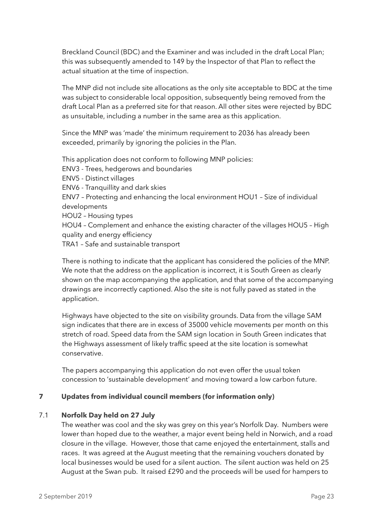Breckland Council (BDC) and the Examiner and was included in the draft Local Plan; this was subsequently amended to 149 by the Inspector of that Plan to reflect the actual situation at the time of inspection.

The MNP did not include site allocations as the only site acceptable to BDC at the time was subject to considerable local opposition, subsequently being removed from the draft Local Plan as a preferred site for that reason. All other sites were rejected by BDC as unsuitable, including a number in the same area as this application.

Since the MNP was 'made' the minimum requirement to 2036 has already been exceeded, primarily by ignoring the policies in the Plan.

This application does not conform to following MNP policies: ENV3 - Trees, hedgerows and boundaries ENV5 - Distinct villages ENV6 - Tranquillity and dark skies ENV7 – Protecting and enhancing the local environment HOU1 – Size of individual developments HOU2 – Housing types HOU4 – Complement and enhance the existing character of the villages HOU5 – High quality and energy efficiency TRA1 – Safe and sustainable transport

There is nothing to indicate that the applicant has considered the policies of the MNP. We note that the address on the application is incorrect, it is South Green as clearly shown on the map accompanying the application, and that some of the accompanying drawings are incorrectly captioned. Also the site is not fully paved as stated in the application.

Highways have objected to the site on visibility grounds. Data from the village SAM sign indicates that there are in excess of 35000 vehicle movements per month on this stretch of road. Speed data from the SAM sign location in South Green indicates that the Highways assessment of likely traffic speed at the site location is somewhat conservative.

The papers accompanying this application do not even offer the usual token concession to 'sustainable development' and moving toward a low carbon future.

# **7 Updates from individual council members (for information only)**

# 7.1 **Norfolk Day held on 27 July**

The weather was cool and the sky was grey on this year's Norfolk Day. Numbers were lower than hoped due to the weather, a major event being held in Norwich, and a road closure in the village. However, those that came enjoyed the entertainment, stalls and races. It was agreed at the August meeting that the remaining vouchers donated by local businesses would be used for a silent auction. The silent auction was held on 25 August at the Swan pub. It raised £290 and the proceeds will be used for hampers to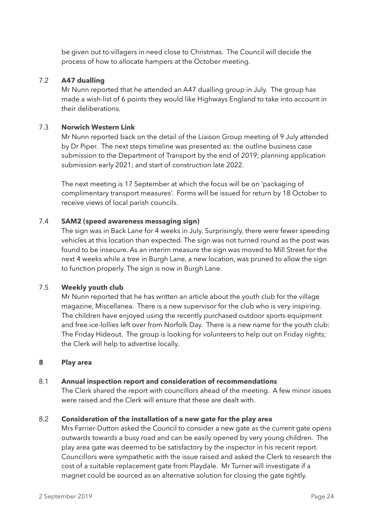be given out to villagers in need close to Christmas. The Council will decide the process of how to allocate hampers at the October meeting.

## 7.2 **A47 dualling**

Mr Nunn reported that he attended an A47 dualling group in July. The group has made a wish-list of 6 points they would like Highways England to take into account in their deliberations.

## 7.3 **Norwich Western Link**

Mr Nunn reported back on the detail of the Liaison Group meeting of 9 July attended by Dr Piper. The next steps timeline was presented as: the outline business case submission to the Department of Transport by the end of 2019; planning application submission early 2021; and start of construction late 2022.

The next meeting is 17 September at which the focus will be on 'packaging of complimentary transport measures'. Forms will be issued for return by 18 October to receive views of local parish councils.

## 7.4 **SAM2 (speed awareness messaging sign)**

The sign was in Back Lane for 4 weeks in July. Surprisingly, there were fewer speeding vehicles at this location than expected. The sign was not turned round as the post was found to be insecure. As an interim measure the sign was moved to Mill Street for the next 4 weeks while a tree in Burgh Lane, a new location, was pruned to allow the sign to function properly. The sign is now in Burgh Lane.

#### 7.5 **Weekly youth club**

Mr Nunn reported that he has written an article about the youth club for the village magazine, Miscellanea. There is a new supervisor for the club who is very inspiring. The children have enjoyed using the recently purchased outdoor sports equipment and free ice-lollies left over from Norfolk Day. There is a new name for the youth club: The Friday Hideout. The group is looking for volunteers to help out on Friday nights; the Clerk will help to advertise locally.

#### **8 Play area**

# 8.1 **Annual inspection report and consideration of recommendations**

The Clerk shared the report with councillors ahead of the meeting. A few minor issues were raised and the Clerk will ensure that these are dealt with.

#### 8.2 **Consideration of the installation of a new gate for the play area**

Mrs Farrier-Dutton asked the Council to consider a new gate as the current gate opens outwards towards a busy road and can be easily opened by very young children. The play area gate was deemed to be satisfactory by the inspector in his recent report. Councillors were sympathetic with the issue raised and asked the Clerk to research the cost of a suitable replacement gate from Playdale. Mr Turner will investigate if a magnet could be sourced as an alternative solution for closing the gate tightly.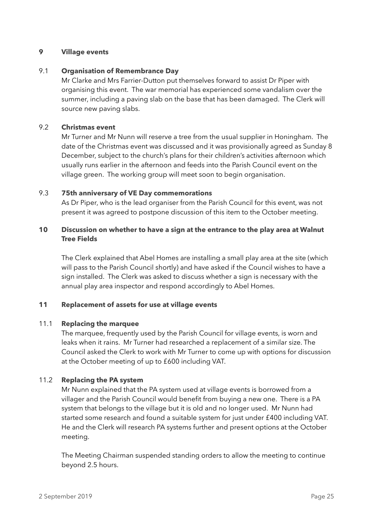## **9 Village events**

## 9.1 **Organisation of Remembrance Day**

Mr Clarke and Mrs Farrier-Dutton put themselves forward to assist Dr Piper with organising this event. The war memorial has experienced some vandalism over the summer, including a paving slab on the base that has been damaged. The Clerk will source new paving slabs.

## 9.2 **Christmas event**

Mr Turner and Mr Nunn will reserve a tree from the usual supplier in Honingham. The date of the Christmas event was discussed and it was provisionally agreed as Sunday 8 December, subject to the church's plans for their children's activities afternoon which usually runs earlier in the afternoon and feeds into the Parish Council event on the village green. The working group will meet soon to begin organisation.

#### 9.3 **75th anniversary of VE Day commemorations**

As Dr Piper, who is the lead organiser from the Parish Council for this event, was not present it was agreed to postpone discussion of this item to the October meeting.

# **10 Discussion on whether to have a sign at the entrance to the play area at Walnut Tree Fields**

The Clerk explained that Abel Homes are installing a small play area at the site (which will pass to the Parish Council shortly) and have asked if the Council wishes to have a sign installed. The Clerk was asked to discuss whether a sign is necessary with the annual play area inspector and respond accordingly to Abel Homes.

# **11 Replacement of assets for use at village events**

#### 11.1 **Replacing the marquee**

The marquee, frequently used by the Parish Council for village events, is worn and leaks when it rains. Mr Turner had researched a replacement of a similar size. The Council asked the Clerk to work with Mr Turner to come up with options for discussion at the October meeting of up to £600 including VAT.

# 11.2 **Replacing the PA system**

Mr Nunn explained that the PA system used at village events is borrowed from a villager and the Parish Council would benefit from buying a new one. There is a PA system that belongs to the village but it is old and no longer used. Mr Nunn had started some research and found a suitable system for just under £400 including VAT. He and the Clerk will research PA systems further and present options at the October meeting.

The Meeting Chairman suspended standing orders to allow the meeting to continue beyond 2.5 hours.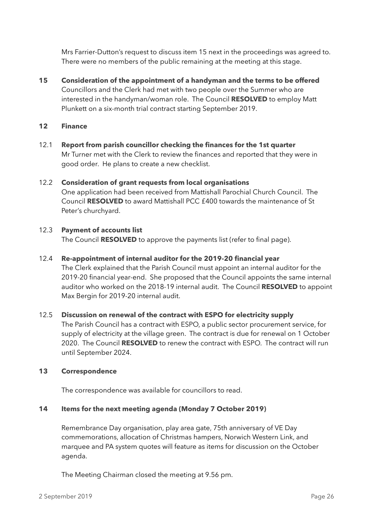Mrs Farrier-Dutton's request to discuss item 15 next in the proceedings was agreed to. There were no members of the public remaining at the meeting at this stage.

**15 Consideration of the appointment of a handyman and the terms to be offered** Councillors and the Clerk had met with two people over the Summer who are interested in the handyman/woman role. The Council **RESOLVED** to employ Matt Plunkett on a six-month trial contract starting September 2019.

## **12 Finance**

12.1 **Report from parish councillor checking the finances for the 1st quarter**  Mr Turner met with the Clerk to review the finances and reported that they were in good order. He plans to create a new checklist.

# 12.2 **Consideration of grant requests from local organisations**  One application had been received from Mattishall Parochial Church Council. The Council **RESOLVED** to award Mattishall PCC £400 towards the maintenance of St Peter's churchyard.

# 12.3 **Payment of accounts list**

The Council **RESOLVED** to approve the payments list (refer to final page).

## 12.4 **Re-appointment of internal auditor for the 2019-20 financial year**

The Clerk explained that the Parish Council must appoint an internal auditor for the 2019-20 financial year-end. She proposed that the Council appoints the same internal auditor who worked on the 2018-19 internal audit. The Council **RESOLVED** to appoint Max Bergin for 2019-20 internal audit.

#### 12.5 **Discussion on renewal of the contract with ESPO for electricity supply**

The Parish Council has a contract with ESPO, a public sector procurement service, for supply of electricity at the village green. The contract is due for renewal on 1 October 2020. The Council **RESOLVED** to renew the contract with ESPO. The contract will run until September 2024.

#### **13 Correspondence**

The correspondence was available for councillors to read.

#### **14 Items for the next meeting agenda (Monday 7 October 2019)**

Remembrance Day organisation, play area gate, 75th anniversary of VE Day commemorations, allocation of Christmas hampers, Norwich Western Link, and marquee and PA system quotes will feature as items for discussion on the October agenda.

The Meeting Chairman closed the meeting at 9.56 pm.